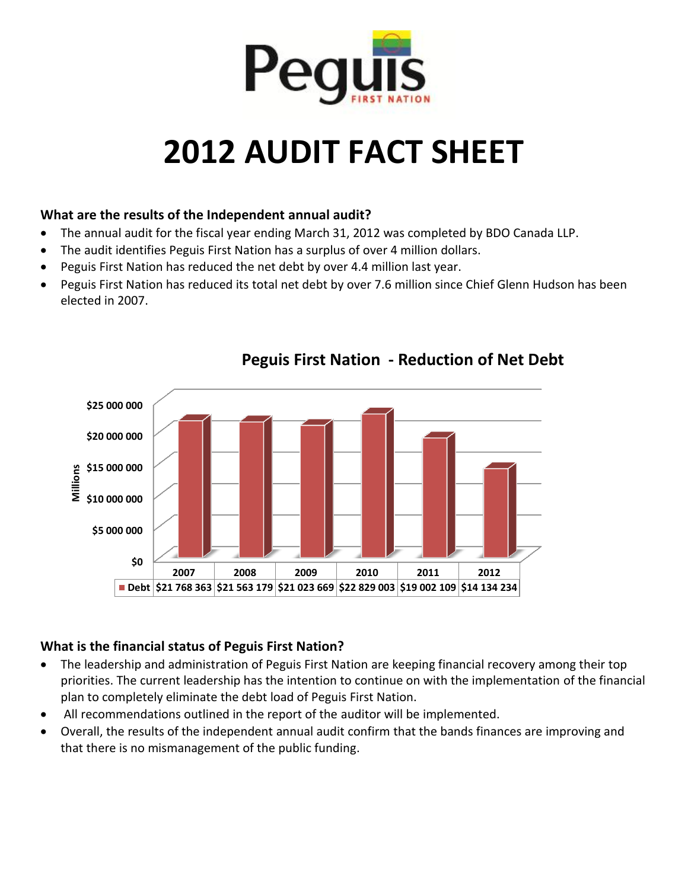

# **2012 AUDIT FACT SHEET**

#### **What are the results of the Independent annual audit?**

- The annual audit for the fiscal year ending March 31, 2012 was completed by BDO Canada LLP.
- The audit identifies Peguis First Nation has a surplus of over 4 million dollars.
- Peguis First Nation has reduced the net debt by over 4.4 million last year.
- Peguis First Nation has reduced its total net debt by over 7.6 million since Chief Glenn Hudson has been elected in 2007.



# **Peguis First Nation - Reduction of Net Debt**

#### **What is the financial status of Peguis First Nation?**

- The leadership and administration of Peguis First Nation are keeping financial recovery among their top priorities. The current leadership has the intention to continue on with the implementation of the financial plan to completely eliminate the debt load of Peguis First Nation.
- All recommendations outlined in the report of the auditor will be implemented.
- Overall, the results of the independent annual audit confirm that the bands finances are improving and that there is no mismanagement of the public funding.